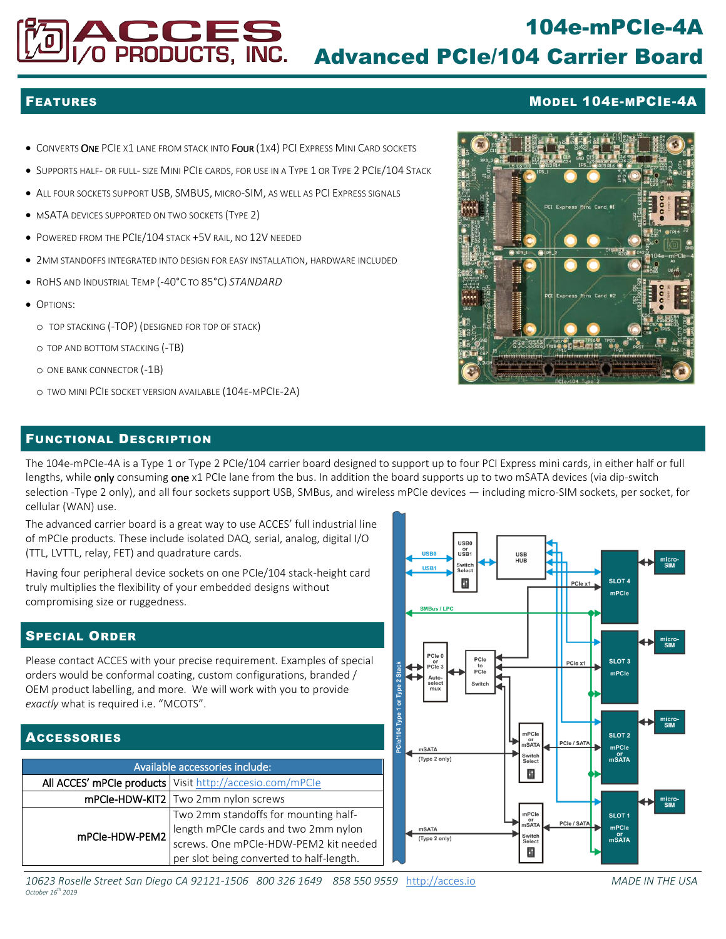# 104e-mPCIe-4A Advanced PCIe/104 Carrier Board

- **CONVERTS ONE PCIE X1 LANE FROM STACK INTO FOUR (1X4) PCI EXPRESS MINI CARD SOCKETS**
- **.** SUPPORTS HALF- OR FULL- SIZE MINI PCIE CARDS, FOR USE IN A TYPE 1 OR TYPE 2 PCIE/104 STACK
- ALL FOUR SOCKETS SUPPORT USB, SMBUS, MICRO-SIM, AS WELL AS PCI EXPRESS SIGNALS

VO PRODUCTS, INC.

- $\bullet$  MSATA DEVICES SUPPORTED ON TWO SOCKETS (TYPE 2)
- POWERED FROM THE PCIE/104 STACK +5V RAIL, NO 12V NEEDED
- 2MM STANDOFFS INTEGRATED INTO DESIGN FOR EASY INSTALLATION, HARDWARE INCLUDED
- ROHS AND INDUSTRIAL TEMP (-40°C TO 85°C) *STANDARD*
- **OPTIONS:** 
	- o TOP STACKING (-TOP) (DESIGNED FOR TOP OF STACK)
	- o TOP AND BOTTOM STACKING (-TB)
	- o ONE BANK CONNECTOR (-1B)
	- o TWO MINI PCIE SOCKET VERSION AVAILABLE (104E-MPCIE-2A)



### FUNCTIONAL DESCRIPTION

The 104e-mPCIe-4A is a Type 1 or Type 2 PCIe/104 carrier board designed to support up to four PCI Express mini cards, in either half or full lengths, while **only** consuming one x1 PCIe lane from the bus. In addition the board supports up to two mSATA devices (via dip-switch selection -Type 2 only), and all four sockets support USB, SMBus, and wireless mPCIe devices — including micro-SIM sockets, per socket, for cellular (WAN) use.

The advanced carrier board is a great way to use ACCES' full industrial line of mPCIe products. These include isolated DAQ, serial, analog, digital I/O (TTL, LVTTL, relay, FET) and quadrature cards.

Having four peripheral device sockets on one PCIe/104 stack-height card truly multiplies the flexibility of your embedded designs without compromising size or ruggedness.

## SPECIAL ORDER

Please contact ACCES with your precise requirement. Examples of special orders would be conformal coating, custom configurations, branded / OEM product labelling, and more. We will work with you to provide *exactly* what is required i.e. "MCOTS".

# ACCESSORIES

| Available accessories include: |                                                                              |
|--------------------------------|------------------------------------------------------------------------------|
|                                | All ACCES' mPCle products   Visit http://accesio.com/mPCle                   |
|                                | mPCle-HDW-KIT2   Two 2mm nylon screws                                        |
| mPCle-HDW-PEM2                 | Two 2mm standoffs for mounting half-<br>length mPCIe cards and two 2mm nylon |
|                                |                                                                              |
|                                | screws. One mPCIe-HDW-PEM2 kit needed                                        |
|                                | per slot being converted to half-length.                                     |



*10623 Roselle Street San Diego CA 92121-1506 800 326 1649 858 550 9559* [http://acces.io](http://acces.io/) *MADE IN THE USA October 16th 2019*

### FEATURES MODEL 104E-MPCIE-4A